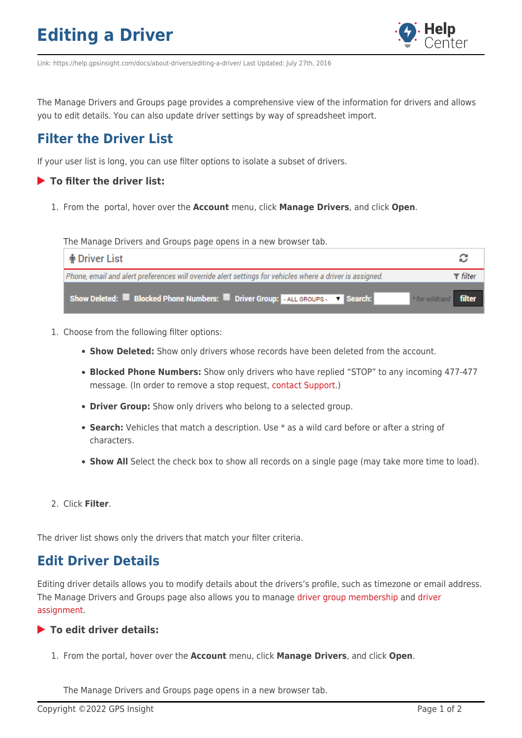## **Editing a Driver**



Link: https://help.gpsinsight.com/docs/about-drivers/editing-a-driver/ Last Updated: July 27th, 2016

The Manage Drivers and Groups page provides a comprehensive view of the information for drivers and allows you to edit details. You can also update driver settings by way of spreadsheet import.

## **Filter the Driver List**

If your user list is long, you can use filter options to isolate a subset of drivers.

### **To filter the driver list:**

1. From the portal, hover over the **Account** menu, click **Manage Drivers**, and click **Open**.

The Manage Drivers and Groups page opens in a new browser tab.

| ∣ † Driver List                                                                                           |          |
|-----------------------------------------------------------------------------------------------------------|----------|
| Phone, email and alert preferences will override alert settings for vehicles where a driver is assigned.  | r filter |
| Show Deleted: Blocked Phone Numbers: Driver Group: ALL GROUPS - T Search:<br>* for wildcard <b>filter</b> |          |

- 1. Choose from the following filter options:
	- **Show Deleted:** Show only drivers whose records have been deleted from the account.
	- **Blocked Phone Numbers:** Show only drivers who have replied "STOP" to any incoming 477-477 message. (In order to remove a stop request, [contact Support](https://help.gpsinsight.com/contact-support/).)
	- **Driver Group:** Show only drivers who belong to a selected group.
	- **Search:** Vehicles that match a description. Use \* as a wild card before or after a string of characters.
	- **Show All** Select the check box to show all records on a single page (may take more time to load).
- 2. Click **Filter**.

The driver list shows only the drivers that match your filter criteria.

### **Edit Driver Details**

Editing driver details allows you to modify details about the drivers's profile, such as timezone or email address. The Manage Drivers and Groups page also allows you to manage [driver group membership](https://help.gpsinsight.com/docs/about-drivers/using-driver-groups/) and [driver](https://help.gpsinsight.com/docs/about-drivers/assigning-a-driver-to-a-vehicle/) [assignment.](https://help.gpsinsight.com/docs/about-drivers/assigning-a-driver-to-a-vehicle/)

### **To edit driver details:**

1. From the portal, hover over the **Account** menu, click **Manage Drivers**, and click **Open**.

The Manage Drivers and Groups page opens in a new browser tab.